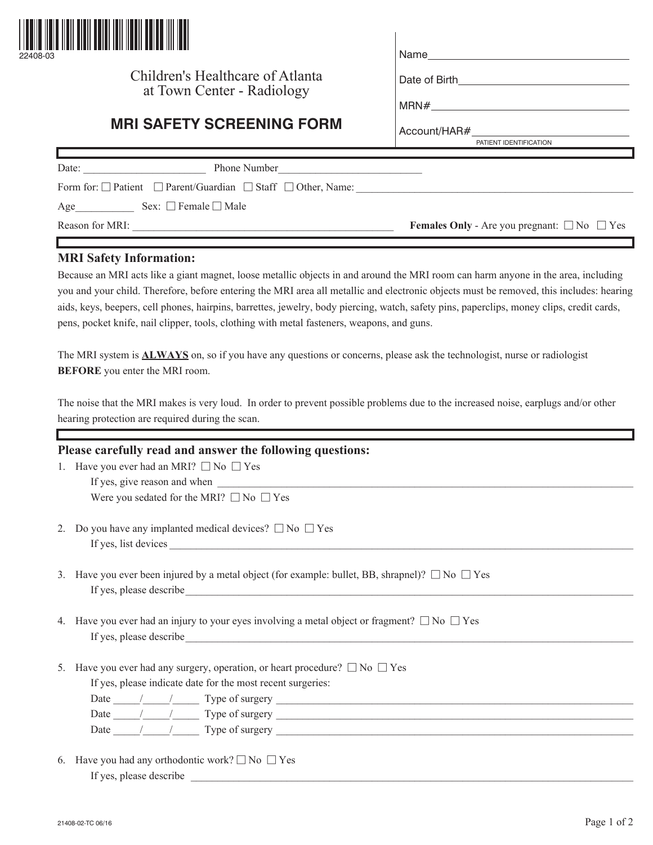

## Children's Healthcare of Atlanta at Town Center - Radiology

| lame |  |  |  |
|------|--|--|--|
|      |  |  |  |
|      |  |  |  |

Date of Birth\_

Account/HAR#

MRN#

## **MRI SAFETY SCREENING FORM**

|                                                                                  | PATIENT IDENTIFICATION                                       |
|----------------------------------------------------------------------------------|--------------------------------------------------------------|
|                                                                                  |                                                              |
| <b>Phone Number</b><br>Date:                                                     |                                                              |
| Form for: $\Box$ Patient $\Box$ Parent/Guardian $\Box$ Staff $\Box$ Other, Name: |                                                              |
| Sex: $\Box$ Female $\Box$ Male<br>Age                                            |                                                              |
| Reason for MRI:                                                                  | <b>Females Only</b> - Are you pregnant: $\Box$ No $\Box$ Yes |
|                                                                                  |                                                              |

## **MRI Safety Information:**

Because an MRI acts like a giant magnet, loose metallic objects in and around the MRI room can harm anyone in the area, including you and your child. Therefore, before entering the MRI area all metallic and electronic objects must be removed, this includes: hearing aids, keys, beepers, cell phones, hairpins, barrettes, jewelry, body piercing, watch, safety pins, paperclips, money clips, credit cards, pens, pocket knife, nail clipper, tools, clothing with metal fasteners, weapons, and guns.

The MRI system is **ALWAYS** on, so if you have any questions or concerns, please ask the technologist, nurse or radiologist **BEFORE** you enter the MRI room.

The noise that the MRI makes is very loud. In order to prevent possible problems due to the increased noise, earplugs and/or other hearing protection are required during the scan.

|    | Please carefully read and answer the following questions:                                                       |
|----|-----------------------------------------------------------------------------------------------------------------|
|    | 1. Have you ever had an MRI? $\Box$ No $\Box$ Yes                                                               |
|    | If yes, give reason and when <b>shipmen</b>                                                                     |
|    | Were you sedated for the MRI? $\Box$ No $\Box$ Yes                                                              |
|    | Do you have any implanted medical devices? $\square$ No $\square$ Yes                                           |
|    |                                                                                                                 |
|    | 3. Have you ever been injured by a metal object (for example: bullet, BB, shrapnel)? $\square$ No $\square$ Yes |
|    |                                                                                                                 |
|    | 4. Have you ever had an injury to your eyes involving a metal object or fragment? $\square$ No $\square$ Yes    |
|    | Have you ever had any surgery, operation, or heart procedure? $\Box$ No $\Box$ Yes                              |
|    | If yes, please indicate date for the most recent surgeries:                                                     |
|    | Date $\frac{1}{\sqrt{2\pi}}$ Type of surgery $\frac{1}{\sqrt{2\pi}}$                                            |
| 5. | Date $\frac{1}{\sqrt{2\pi}}$ Type of surgery $\frac{1}{\sqrt{2\pi}}$                                            |

6. Have you had any orthodontic work?  $\square$  No  $\square$  Yes If yes, please describe